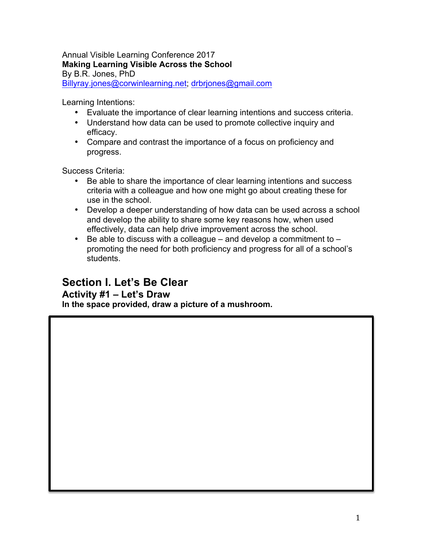#### Annual Visible Learning Conference 2017 **Making Learning Visible Across the School** By B.R. Jones, PhD Billyray.jones@corwinlearning.net; drbrjones@gmail.com

Learning Intentions:

- Evaluate the importance of clear learning intentions and success criteria.
- Understand how data can be used to promote collective inquiry and efficacy.
- Compare and contrast the importance of a focus on proficiency and progress.

Success Criteria:

- Be able to share the importance of clear learning intentions and success criteria with a colleague and how one might go about creating these for use in the school.
- Develop a deeper understanding of how data can be used across a school and develop the ability to share some key reasons how, when used effectively, data can help drive improvement across the school.
- Be able to discuss with a colleague  $-$  and develop a commitment to  $$ promoting the need for both proficiency and progress for all of a school's students.

# **Section I. Let's Be Clear**

#### **Activity #1 – Let's Draw**

**In the space provided, draw a picture of a mushroom.**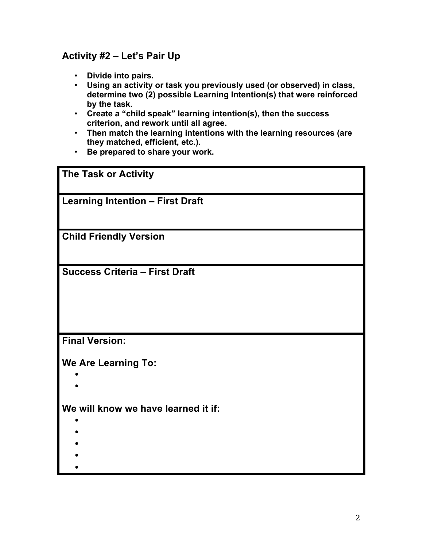# **Activity #2 – Let's Pair Up**

- **Divide into pairs.**
- **Using an activity or task you previously used (or observed) in class, determine two (2) possible Learning Intention(s) that were reinforced by the task.**
- **Create a "child speak" learning intention(s), then the success criterion, and rework until all agree.**
- **Then match the learning intentions with the learning resources (are they matched, efficient, etc.).**
- **Be prepared to share your work.**

**The Task or Activity Learning Intention – First Draft Child Friendly Version Success Criteria – First Draft Final Version: We Are Learning To:** • • **We will know we have learned it if:** • • • •

•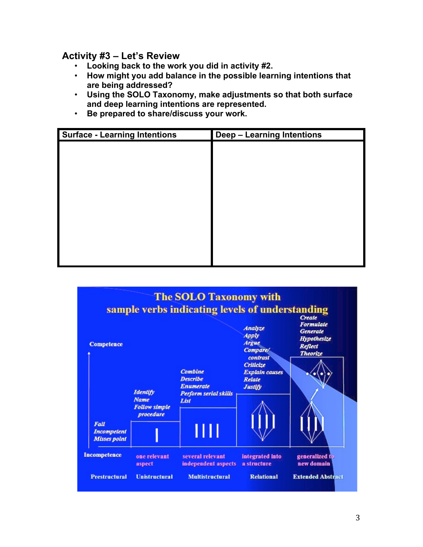**Activity #3 – Let's Review**

- **Looking back to the work you did in activity #2.**
- **How might you add balance in the possible learning intentions that are being addressed?**
- **Using the SOLO Taxonomy, make adjustments so that both surface and deep learning intentions are represented.**
- **Be prepared to share/discuss your work.**

| <b>Surface - Learning Intentions</b> | <b>Deep - Learning Intentions</b> |
|--------------------------------------|-----------------------------------|
|                                      |                                   |
|                                      |                                   |
|                                      |                                   |
|                                      |                                   |
|                                      |                                   |
|                                      |                                   |
|                                      |                                   |
|                                      |                                   |
|                                      |                                   |
|                                      |                                   |

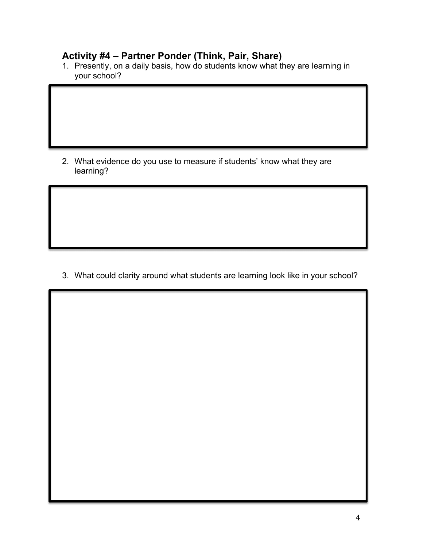### **Activity #4 – Partner Ponder (Think, Pair, Share)**

1. Presently, on a daily basis, how do students know what they are learning in your school?

2. What evidence do you use to measure if students' know what they are learning?

3. What could clarity around what students are learning look like in your school?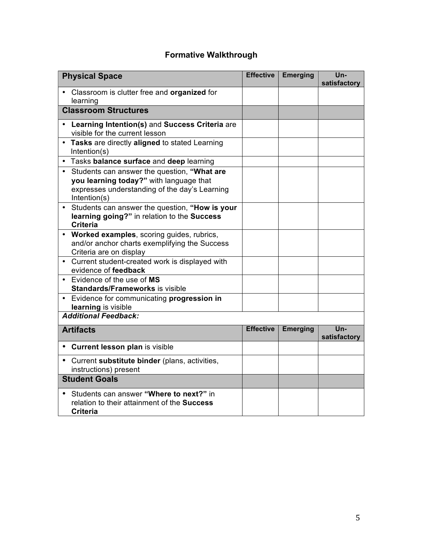# **Formative Walkthrough**

| <b>Physical Space</b>                                                                                                                                                | <b>Effective</b> | <b>Emerging</b> | Un-<br>satisfactory |
|----------------------------------------------------------------------------------------------------------------------------------------------------------------------|------------------|-----------------|---------------------|
| Classroom is clutter free and organized for<br>learning                                                                                                              |                  |                 |                     |
| <b>Classroom Structures</b>                                                                                                                                          |                  |                 |                     |
| Learning Intention(s) and Success Criteria are<br>visible for the current lesson                                                                                     |                  |                 |                     |
| Tasks are directly aligned to stated Learning<br>$\bullet$<br>Intention(s)                                                                                           |                  |                 |                     |
| • Tasks balance surface and deep learning                                                                                                                            |                  |                 |                     |
| Students can answer the question, "What are<br>$\bullet$<br>you learning today?" with language that<br>expresses understanding of the day's Learning<br>Intention(s) |                  |                 |                     |
| Students can answer the question, "How is your<br>$\bullet$<br>learning going?" in relation to the Success<br><b>Criteria</b>                                        |                  |                 |                     |
| • Worked examples, scoring guides, rubrics,<br>and/or anchor charts exemplifying the Success<br>Criteria are on display                                              |                  |                 |                     |
| Current student-created work is displayed with<br>$\bullet$<br>evidence of feedback                                                                                  |                  |                 |                     |
| Evidence of the use of MS<br>$\bullet$<br><b>Standards/Frameworks is visible</b>                                                                                     |                  |                 |                     |
| Evidence for communicating progression in<br>$\bullet$<br>learning is visible                                                                                        |                  |                 |                     |
| <b>Additional Feedback:</b>                                                                                                                                          |                  |                 |                     |
| <b>Artifacts</b>                                                                                                                                                     | <b>Effective</b> | <b>Emerging</b> | Un-<br>satisfactory |
| Current lesson plan is visible<br>$\bullet$                                                                                                                          |                  |                 |                     |
| • Current substitute binder (plans, activities,<br>instructions) present                                                                                             |                  |                 |                     |
| <b>Student Goals</b>                                                                                                                                                 |                  |                 |                     |
| Students can answer "Where to next?" in<br>$\bullet$<br>relation to their attainment of the <b>Success</b><br><b>Criteria</b>                                        |                  |                 |                     |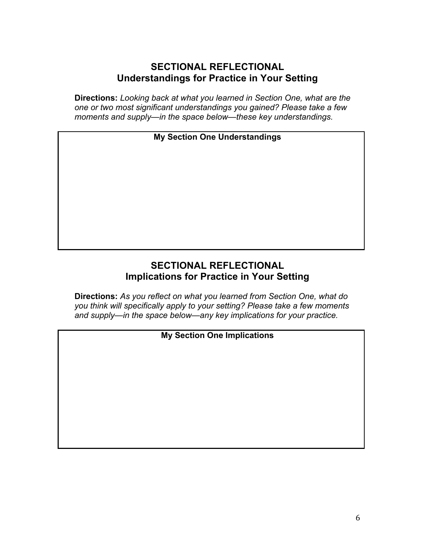## **SECTIONAL REFLECTIONAL Understandings for Practice in Your Setting**

**Directions:** *Looking back at what you learned in Section One, what are the one or two most significant understandings you gained? Please take a few moments and supply—in the space below—these key understandings.*

**My Section One Understandings**

# **SECTIONAL REFLECTIONAL Implications for Practice in Your Setting**

**Directions:** *As you reflect on what you learned from Section One, what do you think will specifically apply to your setting? Please take a few moments and supply—in the space below—any key implications for your practice.*

### **My Section One Implications**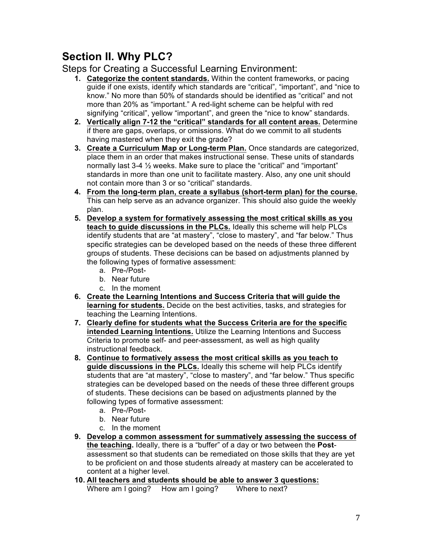# **Section II. Why PLC?**

Steps for Creating a Successful Learning Environment:

- **1. Categorize the content standards.** Within the content frameworks, or pacing guide if one exists, identify which standards are "critical", "important", and "nice to know." No more than 50% of standards should be identified as "critical" and not more than 20% as "important." A red-light scheme can be helpful with red signifying "critical", yellow "important", and green the "nice to know" standards.
- **2. Vertically align 7-12 the "critical" standards for all content areas.** Determine if there are gaps, overlaps, or omissions. What do we commit to all students having mastered when they exit the grade?
- **3. Create a Curriculum Map or Long-term Plan.** Once standards are categorized, place them in an order that makes instructional sense. These units of standards normally last 3-4 ½ weeks. Make sure to place the "critical" and "important" standards in more than one unit to facilitate mastery. Also, any one unit should not contain more than 3 or so "critical" standards.
- **4. From the long-term plan, create a syllabus (short-term plan) for the course.** This can help serve as an advance organizer. This should also guide the weekly plan.
- **5. Develop a system for formatively assessing the most critical skills as you teach to guide discussions in the PLCs.** Ideally this scheme will help PLCs identify students that are "at mastery", "close to mastery", and "far below." Thus specific strategies can be developed based on the needs of these three different groups of students. These decisions can be based on adjustments planned by the following types of formative assessment:
	- a. Pre-/Post-
	- b. Near future
	- c. In the moment
- **6. Create the Learning Intentions and Success Criteria that will guide the learning for students.** Decide on the best activities, tasks, and strategies for teaching the Learning Intentions.
- **7. Clearly define for students what the Success Criteria are for the specific intended Learning Intentions.** Utilize the Learning Intentions and Success Criteria to promote self- and peer-assessment, as well as high quality instructional feedback.
- **8. Continue to formatively assess the most critical skills as you teach to guide discussions in the PLCs.** Ideally this scheme will help PLCs identify students that are "at mastery", "close to mastery", and "far below." Thus specific strategies can be developed based on the needs of these three different groups of students. These decisions can be based on adjustments planned by the following types of formative assessment:
	- a. Pre-/Post-
	- b. Near future
	- c. In the moment
- **9. Develop a common assessment for summatively assessing the success of the teaching.** Ideally, there is a "buffer" of a day or two between the **Post**assessment so that students can be remediated on those skills that they are yet to be proficient on and those students already at mastery can be accelerated to content at a higher level.
- **10. All teachers and students should be able to answer 3 questions:** Where am I going? How am I going? Where to next?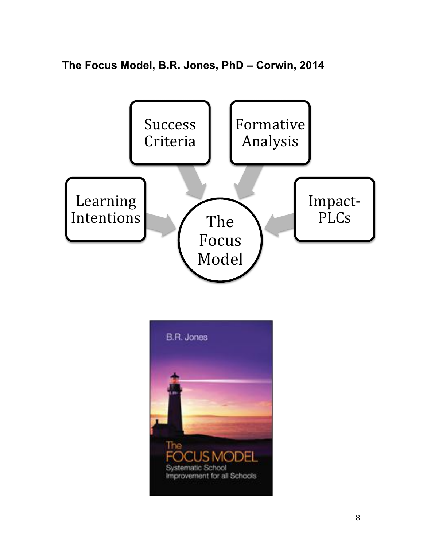**The Focus Model, B.R. Jones, PhD – Corwin, 2014**



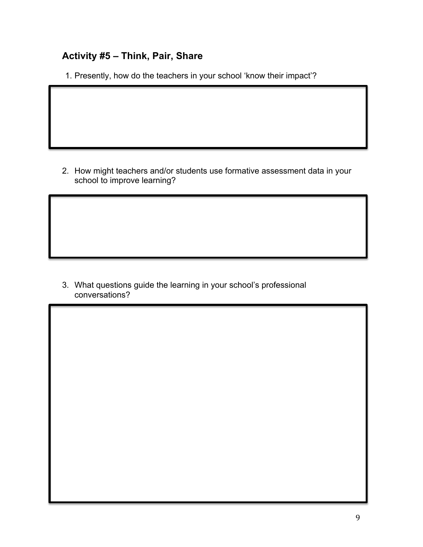# **Activity #5 – Think, Pair, Share**

1. Presently, how do the teachers in your school 'know their impact'?

2. How might teachers and/or students use formative assessment data in your school to improve learning?

3. What questions guide the learning in your school's professional conversations?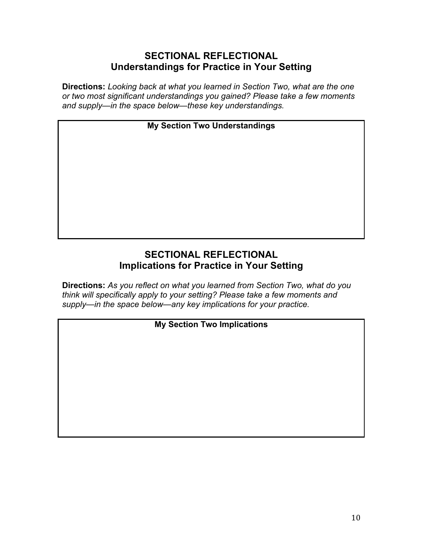# **SECTIONAL REFLECTIONAL Understandings for Practice in Your Setting**

**Directions:** *Looking back at what you learned in Section Two, what are the one or two most significant understandings you gained? Please take a few moments and supply—in the space below—these key understandings.*

**My Section Two Understandings**

## **SECTIONAL REFLECTIONAL Implications for Practice in Your Setting**

**Directions:** *As you reflect on what you learned from Section Two, what do you think will specifically apply to your setting? Please take a few moments and supply—in the space below—any key implications for your practice.*

### **My Section Two Implications**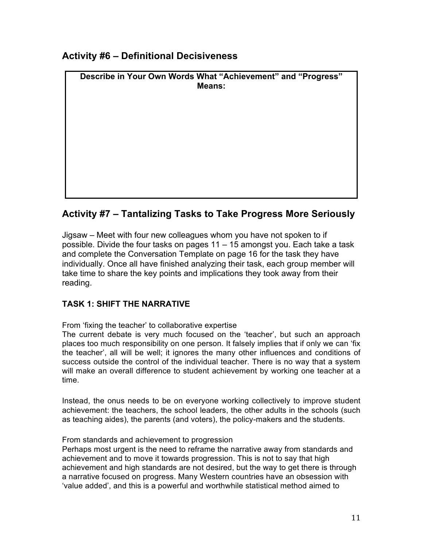## **Activity #6 – Definitional Decisiveness**

| Describe in Your Own Words What "Achievement" and "Progress"<br><b>Means:</b> |  |  |  |  |  |
|-------------------------------------------------------------------------------|--|--|--|--|--|
|                                                                               |  |  |  |  |  |
|                                                                               |  |  |  |  |  |
|                                                                               |  |  |  |  |  |
|                                                                               |  |  |  |  |  |
|                                                                               |  |  |  |  |  |
|                                                                               |  |  |  |  |  |

# **Activity #7 – Tantalizing Tasks to Take Progress More Seriously**

Jigsaw – Meet with four new colleagues whom you have not spoken to if possible. Divide the four tasks on pages 11 – 15 amongst you. Each take a task and complete the Conversation Template on page 16 for the task they have individually. Once all have finished analyzing their task, each group member will take time to share the key points and implications they took away from their reading.

#### **TASK 1: SHIFT THE NARRATIVE**

From 'fixing the teacher' to collaborative expertise

The current debate is very much focused on the 'teacher', but such an approach places too much responsibility on one person. It falsely implies that if only we can 'fix the teacher', all will be well; it ignores the many other influences and conditions of success outside the control of the individual teacher. There is no way that a system will make an overall difference to student achievement by working one teacher at a time.

Instead, the onus needs to be on everyone working collectively to improve student achievement: the teachers, the school leaders, the other adults in the schools (such as teaching aides), the parents (and voters), the policy-makers and the students.

#### From standards and achievement to progression

Perhaps most urgent is the need to reframe the narrative away from standards and achievement and to move it towards progression. This is not to say that high achievement and high standards are not desired, but the way to get there is through a narrative focused on progress. Many Western countries have an obsession with 'value added', and this is a powerful and worthwhile statistical method aimed to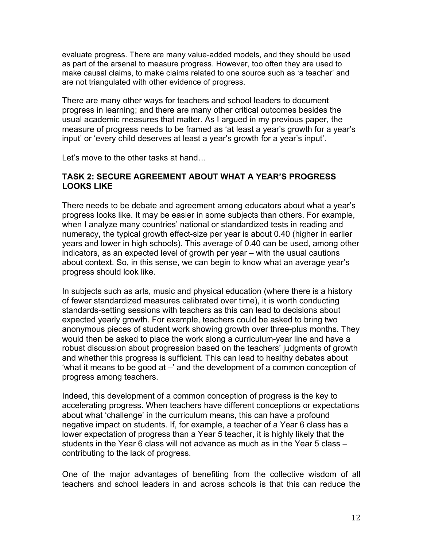evaluate progress. There are many value-added models, and they should be used as part of the arsenal to measure progress. However, too often they are used to make causal claims, to make claims related to one source such as 'a teacher' and are not triangulated with other evidence of progress.

There are many other ways for teachers and school leaders to document progress in learning; and there are many other critical outcomes besides the usual academic measures that matter. As I argued in my previous paper, the measure of progress needs to be framed as 'at least a year's growth for a year's input' or 'every child deserves at least a year's growth for a year's input'.

Let's move to the other tasks at hand…

#### **TASK 2: SECURE AGREEMENT ABOUT WHAT A YEAR'S PROGRESS LOOKS LIKE**

There needs to be debate and agreement among educators about what a year's progress looks like. It may be easier in some subjects than others. For example, when I analyze many countries' national or standardized tests in reading and numeracy, the typical growth effect-size per year is about 0.40 (higher in earlier years and lower in high schools). This average of 0.40 can be used, among other indicators, as an expected level of growth per year – with the usual cautions about context. So, in this sense, we can begin to know what an average year's progress should look like.

In subjects such as arts, music and physical education (where there is a history of fewer standardized measures calibrated over time), it is worth conducting standards-setting sessions with teachers as this can lead to decisions about expected yearly growth. For example, teachers could be asked to bring two anonymous pieces of student work showing growth over three-plus months. They would then be asked to place the work along a curriculum-year line and have a robust discussion about progression based on the teachers' judgments of growth and whether this progress is sufficient. This can lead to healthy debates about 'what it means to be good at –' and the development of a common conception of progress among teachers.

Indeed, this development of a common conception of progress is the key to accelerating progress. When teachers have different conceptions or expectations about what 'challenge' in the curriculum means, this can have a profound negative impact on students. If, for example, a teacher of a Year 6 class has a lower expectation of progress than a Year 5 teacher, it is highly likely that the students in the Year 6 class will not advance as much as in the Year 5 class – contributing to the lack of progress.

One of the major advantages of benefiting from the collective wisdom of all teachers and school leaders in and across schools is that this can reduce the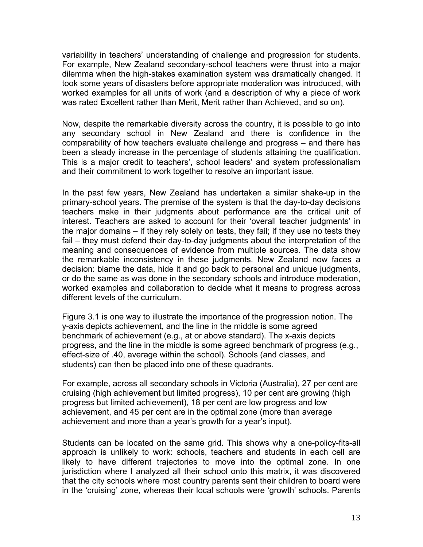variability in teachers' understanding of challenge and progression for students. For example, New Zealand secondary-school teachers were thrust into a major dilemma when the high-stakes examination system was dramatically changed. It took some years of disasters before appropriate moderation was introduced, with worked examples for all units of work (and a description of why a piece of work was rated Excellent rather than Merit, Merit rather than Achieved, and so on).

Now, despite the remarkable diversity across the country, it is possible to go into any secondary school in New Zealand and there is confidence in the comparability of how teachers evaluate challenge and progress – and there has been a steady increase in the percentage of students attaining the qualification. This is a major credit to teachers', school leaders' and system professionalism and their commitment to work together to resolve an important issue.

In the past few years, New Zealand has undertaken a similar shake-up in the primary-school years. The premise of the system is that the day-to-day decisions teachers make in their judgments about performance are the critical unit of interest. Teachers are asked to account for their 'overall teacher judgments' in the major domains – if they rely solely on tests, they fail; if they use no tests they fail – they must defend their day-to-day judgments about the interpretation of the meaning and consequences of evidence from multiple sources. The data show the remarkable inconsistency in these judgments. New Zealand now faces a decision: blame the data, hide it and go back to personal and unique judgments, or do the same as was done in the secondary schools and introduce moderation, worked examples and collaboration to decide what it means to progress across different levels of the curriculum.

Figure 3.1 is one way to illustrate the importance of the progression notion. The y-axis depicts achievement, and the line in the middle is some agreed benchmark of achievement (e.g., at or above standard). The x-axis depicts progress, and the line in the middle is some agreed benchmark of progress (e.g., effect-size of .40, average within the school). Schools (and classes, and students) can then be placed into one of these quadrants.

For example, across all secondary schools in Victoria (Australia), 27 per cent are cruising (high achievement but limited progress), 10 per cent are growing (high progress but limited achievement), 18 per cent are low progress and low achievement, and 45 per cent are in the optimal zone (more than average achievement and more than a year's growth for a year's input).

Students can be located on the same grid. This shows why a one-policy-fits-all approach is unlikely to work: schools, teachers and students in each cell are likely to have different trajectories to move into the optimal zone. In one jurisdiction where I analyzed all their school onto this matrix, it was discovered that the city schools where most country parents sent their children to board were in the 'cruising' zone, whereas their local schools were 'growth' schools. Parents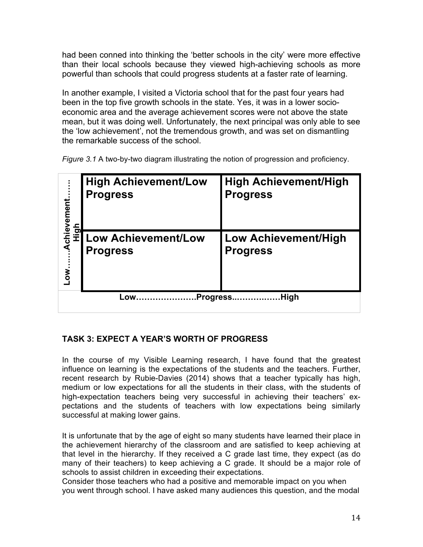had been conned into thinking the 'better schools in the city' were more effective than their local schools because they viewed high-achieving schools as more powerful than schools that could progress students at a faster rate of learning.

In another example, I visited a Victoria school that for the past four years had been in the top five growth schools in the state. Yes, it was in a lower socioeconomic area and the average achievement scores were not above the state mean, but it was doing well. Unfortunately, the next principal was only able to see the 'low achievement', not the tremendous growth, and was set on dismantling the remarkable success of the school.

*Figure 3.1* A two-by-two diagram illustrating the notion of progression and proficiency.

| Achievement                    | <b>High Achievement/Low</b><br><b>Progress</b> | <b>High Achievement/High</b><br><b>Progress</b> |  |  |
|--------------------------------|------------------------------------------------|-------------------------------------------------|--|--|
| <b>High</b><br>LOW             | Low Achievement/Low<br><b>Progress</b>         | <b>Low Achievement/High</b><br><b>Progress</b>  |  |  |
| <b>Progress</b><br>High<br>Low |                                                |                                                 |  |  |

#### **TASK 3: EXPECT A YEAR'S WORTH OF PROGRESS**

In the course of my Visible Learning research, I have found that the greatest influence on learning is the expectations of the students and the teachers. Further, recent research by Rubie-Davies (2014) shows that a teacher typically has high, medium or low expectations for all the students in their class, with the students of high-expectation teachers being very successful in achieving their teachers' expectations and the students of teachers with low expectations being similarly successful at making lower gains.

It is unfortunate that by the age of eight so many students have learned their place in the achievement hierarchy of the classroom and are satisfied to keep achieving at that level in the hierarchy. If they received a C grade last time, they expect (as do many of their teachers) to keep achieving a C grade. It should be a major role of schools to assist children in exceeding their expectations.

Consider those teachers who had a positive and memorable impact on you when you went through school. I have asked many audiences this question, and the modal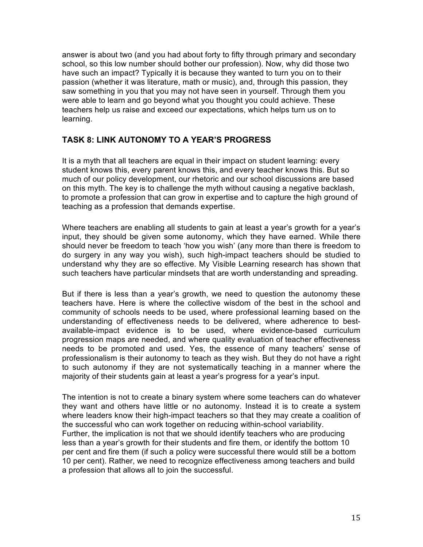answer is about two (and you had about forty to fifty through primary and secondary school, so this low number should bother our profession). Now, why did those two have such an impact? Typically it is because they wanted to turn you on to their passion (whether it was literature, math or music), and, through this passion, they saw something in you that you may not have seen in yourself. Through them you were able to learn and go beyond what you thought you could achieve. These teachers help us raise and exceed our expectations, which helps turn us on to learning.

#### **TASK 8: LINK AUTONOMY TO A YEAR'S PROGRESS**

It is a myth that all teachers are equal in their impact on student learning: every student knows this, every parent knows this, and every teacher knows this. But so much of our policy development, our rhetoric and our school discussions are based on this myth. The key is to challenge the myth without causing a negative backlash, to promote a profession that can grow in expertise and to capture the high ground of teaching as a profession that demands expertise.

Where teachers are enabling all students to gain at least a year's growth for a year's input, they should be given some autonomy, which they have earned. While there should never be freedom to teach 'how you wish' (any more than there is freedom to do surgery in any way you wish), such high-impact teachers should be studied to understand why they are so effective. My Visible Learning research has shown that such teachers have particular mindsets that are worth understanding and spreading.

But if there is less than a year's growth, we need to question the autonomy these teachers have. Here is where the collective wisdom of the best in the school and community of schools needs to be used, where professional learning based on the understanding of effectiveness needs to be delivered, where adherence to bestavailable-impact evidence is to be used, where evidence-based curriculum progression maps are needed, and where quality evaluation of teacher effectiveness needs to be promoted and used. Yes, the essence of many teachers' sense of professionalism is their autonomy to teach as they wish. But they do not have a right to such autonomy if they are not systematically teaching in a manner where the majority of their students gain at least a year's progress for a year's input.

The intention is not to create a binary system where some teachers can do whatever they want and others have little or no autonomy. Instead it is to create a system where leaders know their high-impact teachers so that they may create a coalition of the successful who can work together on reducing within-school variability. Further, the implication is not that we should identify teachers who are producing less than a year's growth for their students and fire them, or identify the bottom 10 per cent and fire them (if such a policy were successful there would still be a bottom 10 per cent). Rather, we need to recognize effectiveness among teachers and build a profession that allows all to join the successful.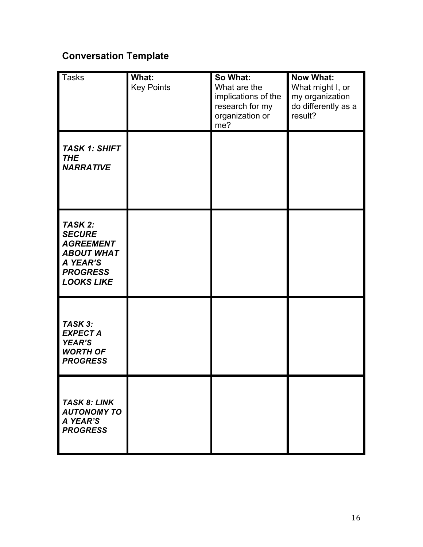# **Conversation Template**

| <b>Tasks</b>                                                                                                          | What:<br><b>Key Points</b> | So What:<br>What are the<br>implications of the<br>research for my<br>organization or<br>me? | <b>Now What:</b><br>What might I, or<br>my organization<br>do differently as a<br>result? |
|-----------------------------------------------------------------------------------------------------------------------|----------------------------|----------------------------------------------------------------------------------------------|-------------------------------------------------------------------------------------------|
| <b>TASK 1: SHIFT</b><br><b>THE</b><br><b>NARRATIVE</b>                                                                |                            |                                                                                              |                                                                                           |
| TASK 2:<br><b>SECURE</b><br><b>AGREEMENT</b><br><b>ABOUT WHAT</b><br>A YEAR'S<br><b>PROGRESS</b><br><b>LOOKS LIKE</b> |                            |                                                                                              |                                                                                           |
| TASK 3:<br><b>EXPECT A</b><br><b>YEAR'S</b><br><b>WORTH OF</b><br><b>PROGRESS</b>                                     |                            |                                                                                              |                                                                                           |
| <b>TASK 8: LINK</b><br><b>AUTONOMY TO</b><br>A YEAR'S<br><b>PROGRESS</b>                                              |                            |                                                                                              |                                                                                           |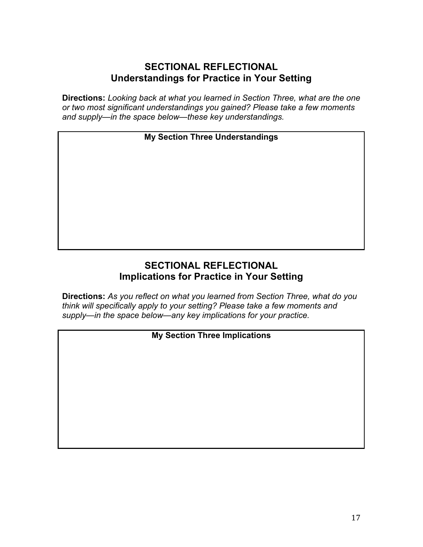## **SECTIONAL REFLECTIONAL Understandings for Practice in Your Setting**

**Directions:** *Looking back at what you learned in Section Three, what are the one or two most significant understandings you gained? Please take a few moments and supply—in the space below—these key understandings.*

### **My Section Three Understandings**

# **SECTIONAL REFLECTIONAL Implications for Practice in Your Setting**

**Directions:** *As you reflect on what you learned from Section Three, what do you think will specifically apply to your setting? Please take a few moments and supply—in the space below—any key implications for your practice.*

### **My Section Three Implications**